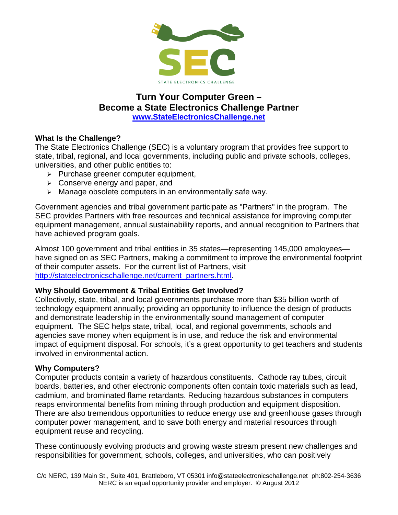

## **Turn Your Computer Green – Become a State Electronics Challenge Partner [www.StateElectronicsChallenge.net](http://www.stateelectronicschallenge.net/)**

## **What Is the Challenge?**

The State Electronics Challenge (SEC) is a voluntary program that provides free support to state, tribal, regional, and local governments, including public and private schools, colleges, universities, and other public entities to:

- $\triangleright$  Purchase greener computer equipment,
- $\triangleright$  Conserve energy and paper, and
- $\triangleright$  Manage obsolete computers in an environmentally safe way.

Government agencies and tribal government participate as "Partners" in the program. The SEC provides Partners with free resources and technical assistance for improving computer equipment management, annual sustainability reports, and annual recognition to Partners that have achieved program goals.

Almost 100 government and tribal entities in 35 states—representing 145,000 employees have signed on as SEC Partners, making a commitment to improve the environmental footprint of their computer assets. For the current list of Partners, visit [http://stateelectronicschallenge.net/current\\_partners.html.](http://stateelectronicschallenge.net/current_partners.html)

## **Why Should Government & Tribal Entities Get Involved?**

Collectively, state, tribal, and local governments purchase more than \$35 billion worth of technology equipment annually; providing an opportunity to influence the design of products and demonstrate leadership in the environmentally sound management of computer equipment. The SEC helps state, tribal, local, and regional governments, schools and agencies save money when equipment is in use, and reduce the risk and environmental impact of equipment disposal. For schools, it's a great opportunity to get teachers and students involved in environmental action.

## **Why Computers?**

Computer products contain a variety of hazardous constituents. Cathode ray tubes, circuit boards, batteries, and other electronic components often contain toxic materials such as lead, cadmium, and brominated flame retardants. Reducing hazardous substances in computers reaps environmental benefits from mining through production and equipment disposition. There are also tremendous opportunities to reduce energy use and greenhouse gases through computer power management, and to save both energy and material resources through equipment reuse and recycling.

These continuously evolving products and growing waste stream present new challenges and responsibilities for government, schools, colleges, and universities, who can positively

C/o NERC, 139 Main St., Suite 401, Brattleboro, VT 05301 info@stateelectronicschallenge.net ph:802-254-3636 NERC is an equal opportunity provider and employer. © August 2012